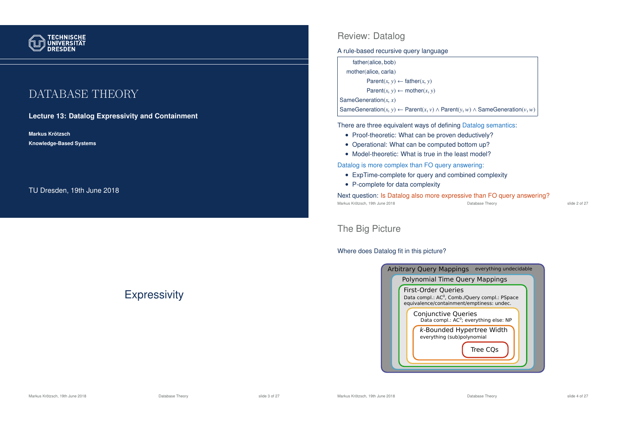

# DATABASE THEORY

#### **Lecture 13: Datalog Expressivity and Containment**

**Markus Krotzsch ¨ Knowledge-Based Systems**

TU Dresden, 19th June 2018

## **Expressivity**

#### Review: Datalog

A rule-based recursive query language

| father(alice, bob)                             |  |  |
|------------------------------------------------|--|--|
| mother(alice, carla)                           |  |  |
| Parent $(x, y) \leftarrow$ father $(x, y)$     |  |  |
| Parent $(x, y) \leftarrow \text{mother}(x, y)$ |  |  |
| SameGeneration $(x, x)$                        |  |  |
|                                                |  |  |

SameGeneration(*x*, *y*) ← Parent(*x*, *v*) ∧ Parent(*y*, *w*) ∧ SameGeneration(*v*, *w*)

There are three equivalent ways of defining Datalog semantics:

- Proof-theoretic: What can be proven deductively?
- Operational: What can be computed bottom up?
- Model-theoretic: What is true in the least model?

Datalog is more complex than FO query answering:

- ExpTime-complete for query and combined complexity
- P-complete for data complexity

Next question: Is Datalog also more expressive than FO query answering?<br>Markus Krötzsch, 19th June 2018 Markus Krötzsch, 19th June 2018 **Database Theory** Database Theory **Slide 2 of 27** slide 2 of 27

### The Big Picture

#### Where does Datalog fit in this picture?



#### Markus Krötzsch, 19th June 2018 **Database Theory** Database Theory Slide 3 of 27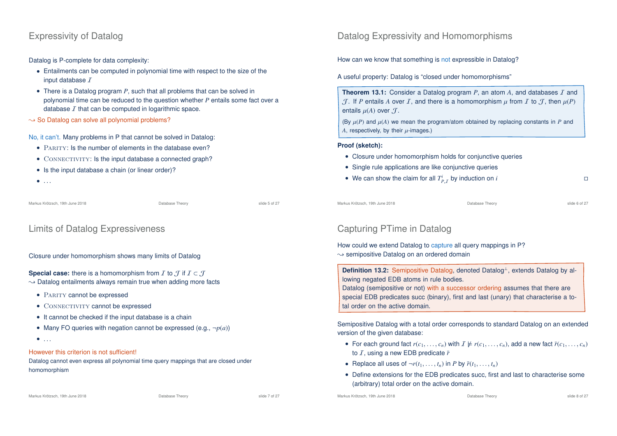### Expressivity of Datalog

Datalog is P-complete for data complexity:

- Entailments can be computed in polynomial time with respect to the size of the input database  $I$
- There is a Datalog program *P*, such that all problems that can be solved in polynomial time can be reduced to the question whether *P* entails some fact over a database  $I$  that can be computed in logarithmic space.
- $\rightarrow$  So Datalog can solve all polynomial problems?

No, it can't. Many problems in P that cannot be solved in Datalog:

- PARITY: Is the number of elements in the database even?
- CONNECTIVITY: Is the input database a connected graph?
- Is the input database a chain (or linear order)?
- $\bullet$  . . .

Markus Krötzsch, 19th June 2018 **Database Theory** Database Theory **Slide 5 of 27** Slide 5 of 27

### Limits of Datalog Expressiveness

Closure under homomorphism shows many limits of Datalog

#### **Special case:** there is a homomorphism from *I* to  $\mathcal{J}$  if  $I \subset \mathcal{J}$

- $\rightarrow$  Datalog entailments always remain true when adding more facts
	- PARITY cannot be expressed
	- CONNECTIVITY cannot be expressed
	- It cannot be checked if the input database is a chain
	- Many FO queries with negation cannot be expressed (e.g.,  $\neg p(a)$ )
	- $\bullet$  . . .

#### However this criterion is not sufficient!

Datalog cannot even express all polynomial time query mappings that are closed under homomorphism

Datalog Expressivity and Homomorphisms

How can we know that something is not expressible in Datalog?

A useful property: Datalog is "closed under homomorphisms"

**Theorem 13.1:** Consider a Datalog program *P*, an atom *A*, and databases *I* and  $J$ . If *P* entails *A* over *I*, and there is a homomorphism  $\mu$  from *I* to *J*, then  $\mu$ (*P*) entails  $u(A)$  over  $\mathcal{T}$ .

(By  $\mu(P)$  and  $\mu(A)$  we mean the program/atom obtained by replacing constants in *P* and  $A$ , respectively, by their  $\mu$ -images.)

#### **Proof (sketch):**

- Closure under homomorphism holds for conjunctive queries
- Single rule applications are like conjunctive queries
- We can show the claim for all  $T^i_{P,I}$  by induction on *i*

Markus Krötzsch, 19th June 2018 Database Theory slide 6 of 27

## Capturing PTime in Datalog

How could we extend Datalog to capture all query mappings in P?  $\rightarrow$  semipositive Datalog on an ordered domain

**Definition 13.2:** Semipositive Datalog, denoted Datalog<sup>⊥</sup>, extends Datalog by allowing negated EDB atoms in rule bodies.

Datalog (semipositive or not) with a successor ordering assumes that there are special EDB predicates succ (binary), first and last (unary) that characterise a total order on the active domain.

Semipositive Datalog with a total order corresponds to standard Datalog on an extended version of the given database:

- For each ground fact  $r(c_1, \ldots, c_n)$  with  $I \not\models r(c_1, \ldots, c_n)$ , add a new fact  $\bar{r}(c_1, \ldots, c_n)$ to *I*, using a new EDB predicate  $\bar{r}$
- Replace all uses of  $\neg r(t_1, \ldots, t_n)$  in *P* by  $\bar{r}(t_1, \ldots, t_n)$
- Define extensions for the EDB predicates succ, first and last to characterise some (arbitrary) total order on the active domain.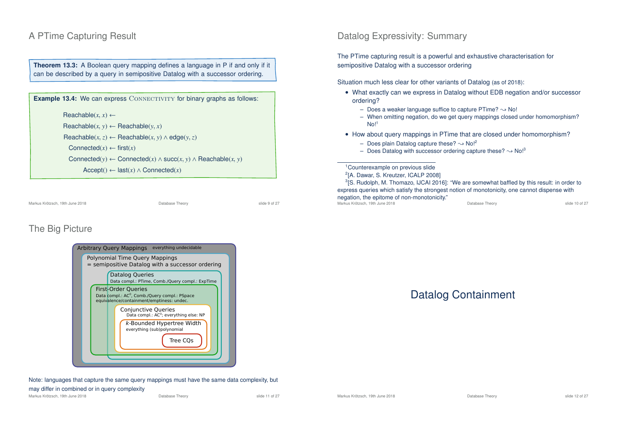### A PTime Capturing Result

**Theorem 13.3:** A Boolean query mapping defines a language in P if and only if it can be described by a query in semipositive Datalog with a successor ordering.

**Example 13.4:** We can express CONNECTIVITY for binary graphs as follows:  $\text{Reachable}(x, x) \leftarrow$  $Reachable(x, y) \leftarrow Reachable(y, x)$  $\text{Reachable}(x, z) \leftarrow \text{Reachable}(x, y) \land \text{edge}(y, z)$ Connected $(x) \leftarrow$  first $(x)$ Connected(*y*) ← Connected(*x*) ∧ succ(*x*, *y*) ∧ Reachable(*x*, *y*)  $Accept() \leftarrow last(x) \wedge Connected(x)$ 

Markus Krötzsch, 19th June 2018 **Database Theory** Database Theory **Slide 9 of 27** and 27

### The Big Picture

| <b>Arbitrary Query Mappings</b><br>everything undecidable                                                                            |  |  |  |  |  |
|--------------------------------------------------------------------------------------------------------------------------------------|--|--|--|--|--|
| Polynomial Time Query Mappings<br>= semipositive Datalog with a successor ordering                                                   |  |  |  |  |  |
| <b>Datalog Queries</b><br>Data compl.: PTime, Comb./Query compl.: ExpTime                                                            |  |  |  |  |  |
| <b>First-Order Queries</b><br>Data compl.: AC <sup>0</sup> , Comb./Query compl.: PSpace<br>equivalence/containment/emptiness: undec. |  |  |  |  |  |
| Conjunctive Queries<br>Data compl.: AC <sup>0</sup> ; everything else: NP                                                            |  |  |  |  |  |
| k-Bounded Hypertree Width<br>everything (sub)polynomial<br>Tree COs                                                                  |  |  |  |  |  |
|                                                                                                                                      |  |  |  |  |  |

Note: languages that capture the same query mappings must have the same data complexity, but may differ in combined or in query complexity

Markus Krötzsch, 19th June 2018 **Database Theory** Database Theory slide 11 of 27

### Datalog Expressivity: Summary

The PTime capturing result is a powerful and exhaustive characterisation for semipositive Datalog with a successor ordering

Situation much less clear for other variants of Datalog (as of 2018):

- What exactly can we express in Datalog without EDB negation and/or successor ordering?
	- Does a weaker language suffice to capture PTime?  $\rightarrow$  No!
	- When omitting negation, do we get query mappings closed under homomorphism?  $Nol<sup>1</sup>$
- How about query mappings in PTime that are closed under homomorphism?
	- Does plain Datalog capture these?  $\sim$  No!<sup>2</sup>
	- Does Datalog with successor ordering capture these?  $\rightarrow$  No!<sup>3</sup>

<sup>1</sup>Counterexample on previous slide

2 [A. Dawar, S. Kreutzer, ICALP 2008]

<sup>3</sup>[S. Rudolph, M. Thomazo, IJCAI 2016]: "We are somewhat baffled by this result: in order to express queries which satisfy the strongest notion of monotonicity, one cannot dispense with negation, the epitome of non-monotonicity." Markus Krötzsch, 19th June 2018 Database Theory slide 10 of 27

### Datalog Containment



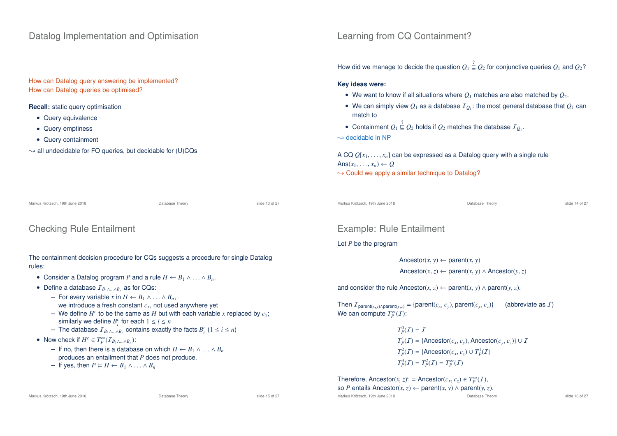### Datalog Implementation and Optimisation

How can Datalog query answering be implemented? How can Datalog queries be optimised?

**Recall:** static query optimisation

- Query equivalence
- Query emptiness
- Query containment
- $\rightarrow$  all undecidable for FO queries, but decidable for (U)CQs

### Learning from CQ Containment?

How did we manage to decide the question  $Q_1 \stackrel{?}{\sqsubseteq} Q_2$  for conjunctive queries  $Q_1$  and  $Q_2$ ?

**Key ideas were:**

- We want to know if all situations where  $Q_1$  matches are also matched by  $Q_2$ .
- $\bullet$  We can simply view  $\mathcal{Q}_1$  as a database  $I_{\mathcal{Q}_1}$ : the most general database that  $\mathcal{Q}_1$  can match to
- Containment  $Q_1 \stackrel{?}{\sqsubseteq} Q_2$  holds if  $Q_2$  matches the database  $I_{Q_1}$ .

 $\rightarrow$  decidable in NP

A CQ *Q*[*x*<sup>1</sup>, . . . , *xn*] can be expressed as a Datalog query with a single rule Ans $(x_1, \ldots, x_n) \leftarrow Q$  $\rightarrow$  Could we apply a similar technique to Datalog?

Markus Krötzsch, 19th June 2018 Database Theory slide 13 of 27 Markus Krötzsch, 19th June 2018 Database Theory slide 14 of 27 Checking Rule Entailment The containment decision procedure for CQs suggests a procedure for single Datalog rules: • Consider a Datalog program *P* and a rule  $H \leftarrow B_1 \wedge \ldots \wedge B_n$ . • Define a database I*<sup>B</sup>*1∧...∧*B<sup>n</sup>* as for CQs: – For every variable *x* in *H* ← *B*<sup>1</sup> ∧ . . . ∧ *Bn*, we introduce a fresh constant *cx*, not used anywhere yet  $-$  We define  $H^c$  to be the same as  $H$  but with each variable *x* replaced by  $c_x$ ; similarly we define  $B_i^c$  for each  $1 \le i \le n$  $-$  The database  $I_{B_1 ∧ ... ∧ B_n}$  contains exactly the facts  $B_i^c$  (1 ≤ *i* ≤ *n*) • Now check if  $H^c \in T_P^{\infty}(I_{B_1 \wedge \ldots \wedge B_n})$ : – If no, then there is a database on which *H* ← *B*<sup>1</sup> ∧ . . . ∧ *B<sup>n</sup>* produces an entailment that *P* does not produce.  $-$  If yes, then  $P$   $\models H ← B_1 ∧ \ldots ∧ B_n$ Example: Rule Entailment Let *P* be the program Ancestor( $x, y$ )  $\leftarrow$  parent( $x, y$ ) Ancestor( $x, z$ ) ← parent( $x, y$ ) ∧ Ancestor( $y, z$ ) and consider the rule Ancestor( $x, z$ ) ← parent( $x, y$ ) ∧ parent( $y, z$ ). Then  $I_{\text{parent}(x,y) \land \text{parent}(y,z)} = \{\text{parent}(c_x, c_y), \text{parent}(c_y, c_z)\}\$  (abbreviate as I) We can compute  $T_P^{\infty}(I)$ :  $T_P^0(\mathcal{I}) = \mathcal{I}$  $T_P^1(\mathcal{I}) = \{\text{Ancestor}(c_x, c_y), \text{Ancestor}(c_y, c_z)\} \cup \mathcal{I}$  $T_P^2(\mathcal{I}) = \{ \text{Ancestor}(c_x, c_z) \cup T_P^1(\mathcal{I})$  $T_P^3(\mathcal{I}) = T_P^2(\mathcal{I}) = T_P^{\infty}(\mathcal{I})$ Therefore, Ancestor( $x, z$ )<sup>c</sup> = Ancestor( $c_x, c_z$ )  $\in T_P^{\infty}(I)$ ,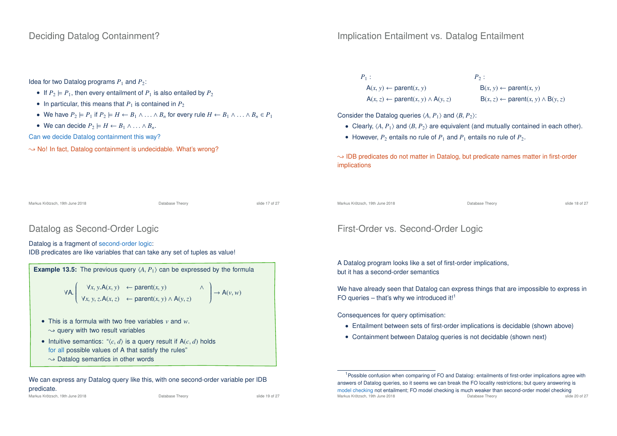#### Deciding Datalog Containment?

#### Implication Entailment vs. Datalog Entailment

#### Idea for two Datalog programs  $P_1$  and  $P_2$ :

- If  $P_2 \models P_1$ , then every entailment of  $P_1$  is also entailed by  $P_2$
- In particular, this means that  $P_1$  is contained in  $P_2$
- We have  $P_2 \models P_1$  if  $P_2 \models H \leftarrow B_1 \land \ldots \land B_n$  for every rule  $H \leftarrow B_1 \land \ldots \land B_n \in P_1$
- We can decide  $P_2 \models H \leftarrow B_1 \land \dots \land B_n$ .

Can we decide Datalog containment this way?

 $\rightarrow$  No! In fact, Datalog containment is undecidable. What's wrong?

#### $P_1$  :  $P_2$  :  $A(x, y) \leftarrow \text{parent}(x, y)$   $B(x, y) \leftarrow \text{parent}(x, y)$  $A(x, z) \leftarrow$  parent $(x, y) \wedge A(y, z)$  B $(x, z) \leftarrow$  parent $(x, y) \wedge B(y, z)$

Consider the Datalog queries  $\langle A, P_1 \rangle$  and  $\langle B, P_2 \rangle$ :

- Clearly,  $\langle A, P_1 \rangle$  and  $\langle B, P_2 \rangle$  are equivalent (and mutually contained in each other).
- However,  $P_2$  entails no rule of  $P_1$  and  $P_1$  entails no rule of  $P_2$ .

 $\rightarrow$  IDB predicates do not matter in Datalog, but predicate names matter in first-order implications

Markus Krötzsch, 19th June 2018 **Database Theory** Database Theory **Canadiates** Slide 17 of 27

#### Datalog as Second-Order Logic

#### Datalog is a fragment of second-order logic:

IDB predicates are like variables that can take any set of tuples as value!

**Example 13.5:** The previous query  $\langle A, P_1 \rangle$  can be expressed by the formula ∀A.  $\left\{\n\begin{array}{ccc}\n\forall x, y. \mathsf{A}(x, y) & \leftarrow \mathsf{parent}(x, y) \\
\end{array}\n\right. \wedge$  $\overline{\phantom{a}}$ ∀*x*, *y*,*z*.A(*x*,*z*) ← parent(*x*, *y*) ∧ <sup>A</sup>(*y*,*z*)  $\left.\begin{aligned}\right\}\rightarrow A(\nu,\nu) \end{aligned}$ 

- This is a formula with two free variables *v* and *w*.  $\rightarrow$  query with two result variables
- Intuitive semantics:  $\langle c, d \rangle$  is a query result if A( $c, d$ ) holds for all possible values of A that satisfy the rules"  $\rightarrow$  Datalog semantics in other words

We can express any Datalog query like this, with one second-order variable per IDB predicate.

Markus Krötzsch, 19th June 2018 Database Theory slide 19 of 27

#### Markus Krötzsch, 19th June 2018 **Database Theory** Database Theory **State 18 of 27** Section 19th 27 and 27 Section 19th 27 and 27 and 27 and 27 and 27 and 27 and 27 and 27 and 27 and 27 and 27 and 27 and 27 and 27 and 27 an

## First-Order vs. Second-Order Logic

A Datalog program looks like a set of first-order implications, but it has a second-order semantics

We have already seen that Datalog can express things that are impossible to express in FO queries – that's why we introduced it!<sup>1</sup>

Consequences for query optimisation:

- Entailment between sets of first-order implications is decidable (shown above)
- Containment between Datalog queries is not decidable (shown next)

<sup>1</sup> Possible confusion when comparing of FO and Datalog: entailments of first-order implications agree with answers of Datalog queries, so it seems we can break the FO locality restrictions; but query answering is model checking not entailment; FO model checking is much weaker than second-order model checking<br>Markus Krötzsch, 19th lune 2018 Markus Krötzsch, 19th June 2018 Database Theory slide 20 of 27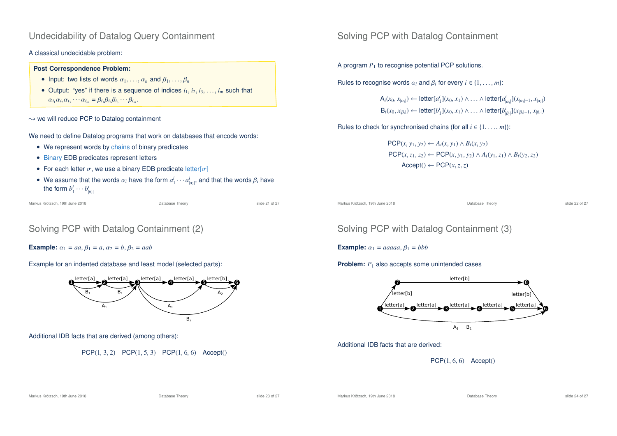### Undecidability of Datalog Query Containment

#### A classical undecidable problem:

#### **Post Correspondence Problem:**

- Input: two lists of words  $\alpha_1, \ldots, \alpha_n$  and  $\beta_1, \ldots, \beta_n$
- Output: "yes" if there is a sequence of indices  $i_1, i_2, i_3, \ldots, i_m$  such that  $\alpha_{i_1}\alpha_{i_2}\alpha_{i_3}\cdots\alpha_{i_m}=\beta_{i_1}\beta_{i_2}\beta_{i_3}\cdots\beta_{i_m}.$

 $\rightsquigarrow$  we will reduce PCP to Datalog containment

We need to define Datalog programs that work on databases that encode words:

- We represent words by chains of binary predicates
- Binary EDB predicates represent letters
- For each letter  $\sigma$ , we use a binary EDB predicate letter  $\sigma$ ]
- We assume that the words  $\alpha_i$  have the form  $a_1^i \cdots a_{|\alpha_i|}^i$ , and that the words  $\beta_i$  have the form  $b_1^i \cdots b_{|\beta_i|}^i$

Markus Krötzsch, 19th June 2018 Database Theory slide 21 of 27

## Solving PCP with Datalog Containment (2)

**Example:**  $\alpha_1 = aa, \beta_1 = a, \alpha_2 = b, \beta_2 = aab$ 

Example for an indented database and least model (selected parts):



Additional IDB facts that are derived (among others):

PCP(1, 3, 2) PCP(1, 5, 3) PCP(1, 6, 6) Accept()

### Solving PCP with Datalog Containment

A program *P*<sup>1</sup> to recognise potential PCP solutions.

Rules to recognise words  $\alpha_i$  and  $\beta_i$  for every  $i \in \{1, ..., m\}$ :

 $\mathsf{A}_i(x_0, x_{|\alpha_i|}) \leftarrow \mathsf{letter}[a_1^i](x_0, x_1) \wedge \ldots \wedge \mathsf{letter}[a_{|\alpha_i|}^i](x_{|\alpha_i|-1}, x_{|\alpha_i|})$ |  $\mathsf{B}_i(x_0, x_{|\beta_i|}) \leftarrow$  letter[*b*<sup>*i*</sup><sub>1</sub>](*x*<sub>0</sub>, *x*<sub>1</sub>) ∧ ... ∧ letter[*b<sup><i>i*</sup><sub>|β*i*|</sub>](*x*<sub>|β*i*|-1</sub>, *x*<sub>|β*i*</sub>|)

Rules to check for synchronised chains (for all  $i \in \{1, \ldots, m\}$ ):

PCP(*x*, *y*<sup>1</sup>, *y*2) ← *Ai*(*x*, *y*1) ∧ *Bi*(*x*, *y*2) PCP(*x*, *z*<sub>1</sub>, *z*<sub>2</sub>) ← PCP(*x*, *y*<sub>1</sub>, *y*<sub>2</sub>) ∧ *A*<sub>*i*</sub>(*y*<sub>1</sub>, *z*<sub>1</sub>) ∧ *B*<sub>*i*</sub>(*y*<sub>2</sub>, *z*<sub>2</sub>)  $Accept() \leftarrow PCP(x, z, z)$ 

Markus Krötzsch, 19th June 2018 Database Theory slide 22 of 27

## Solving PCP with Datalog Containment (3)

**Example:**  $\alpha_1 = aaaaa$ ,  $\beta_1 = bbb$ 

**Problem:**  $P_1$  also accepts some unintended cases



Additional IDB facts that are derived:

 $PCP(1, 6, 6)$  Accept()

Markus Krötzsch, 19th June 2018 Database Theory slide 23 of 27